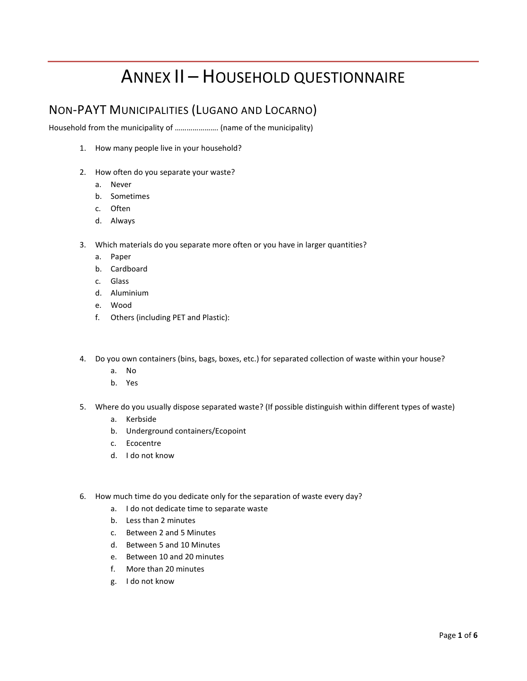# ANNEX II – HOUSEHOLD QUESTIONNAIRE

### NON-PAYT MUNICIPALITIES (LUGANO AND LOCARNO)

Household from the municipality of …………………. (name of the municipality)

- 1. How many people live in your household?
- 2. How often do you separate your waste?
	- a. Never
	- b. Sometimes
	- c. Often
	- d. Always
- 3. Which materials do you separate more often or you have in larger quantities?
	- a. Paper
	- b. Cardboard
	- c. Glass
	- d. Aluminium
	- e. Wood
	- f. Others (including PET and Plastic):
- 4. Do you own containers (bins, bags, boxes, etc.) for separated collection of waste within your house?
	- a. No
	- b. Yes
- 5. Where do you usually dispose separated waste? (If possible distinguish within different types of waste)
	- a. Kerbside
	- b. Underground containers/Ecopoint
	- c. Ecocentre
	- d. I do not know
- 6. How much time do you dedicate only for the separation of waste every day?
	- a. I do not dedicate time to separate waste
	- b. Less than 2 minutes
	- c. Between 2 and 5 Minutes
	- d. Between 5 and 10 Minutes
	- e. Between 10 and 20 minutes
	- f. More than 20 minutes
	- g. I do not know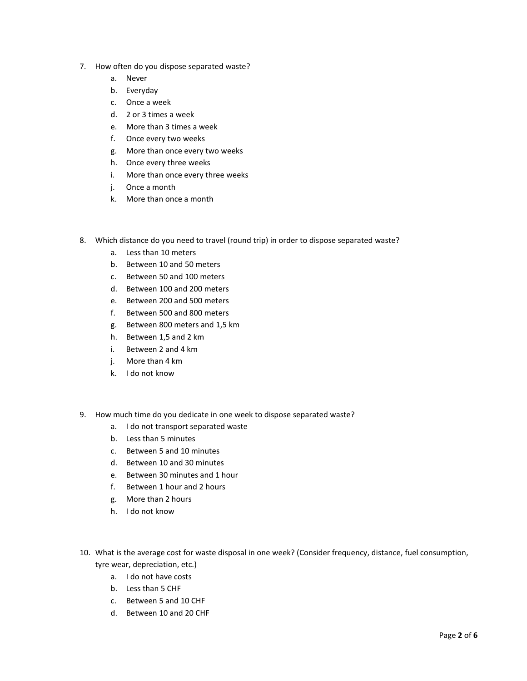- 7. How often do you dispose separated waste?
	- a. Never
	- b. Everyday
	- c. Once a week
	- d. 2 or 3 times a week
	- e. More than 3 times a week
	- f. Once every two weeks
	- g. More than once every two weeks
	- h. Once every three weeks
	- i. More than once every three weeks
	- j. Once a month
	- k. More than once a month
- 8. Which distance do you need to travel (round trip) in order to dispose separated waste?
	- a. Less than 10 meters
	- b. Between 10 and 50 meters
	- c. Between 50 and 100 meters
	- d. Between 100 and 200 meters
	- e. Between 200 and 500 meters
	- f. Between 500 and 800 meters
	- g. Between 800 meters and 1,5 km
	- h. Between 1,5 and 2 km
	- i. Between 2 and 4 km
	- j. More than 4 km
	- k. I do not know
- 9. How much time do you dedicate in one week to dispose separated waste?
	- a. I do not transport separated waste
	- b. Less than 5 minutes
	- c. Between 5 and 10 minutes
	- d. Between 10 and 30 minutes
	- e. Between 30 minutes and 1 hour
	- f. Between 1 hour and 2 hours
	- g. More than 2 hours
	- h. I do not know
- 10. What is the average cost for waste disposal in one week? (Consider frequency, distance, fuel consumption, tyre wear, depreciation, etc.)
	- a. I do not have costs
	- b. Less than 5 CHF
	- c. Between 5 and 10 CHF
	- d. Between 10 and 20 CHF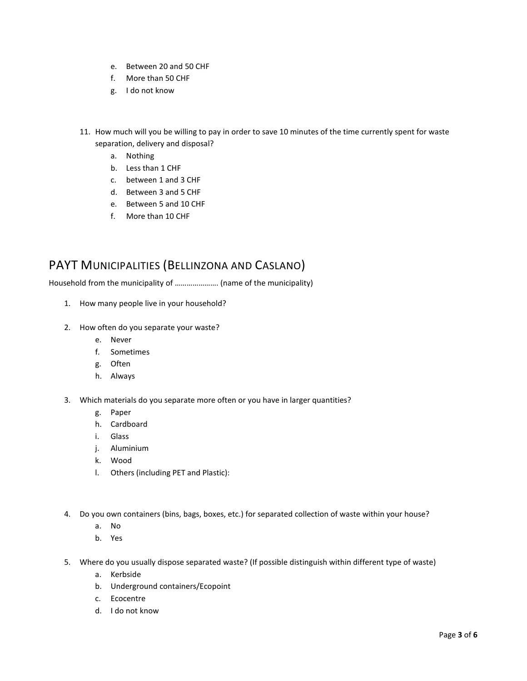- e. Between 20 and 50 CHF
- f. More than 50 CHF
- g. I do not know
- 11. How much will you be willing to pay in order to save 10 minutes of the time currently spent for waste separation, delivery and disposal?
	- a. Nothing
	- b. Less than 1 CHF
	- c. between 1 and 3 CHF
	- d. Between 3 and 5 CHF
	- e. Between 5 and 10 CHF
	- f. More than 10 CHF

## PAYT MUNICIPALITIES (BELLINZONA AND CASLANO)

Household from the municipality of …………………. (name of the municipality)

- 1. How many people live in your household?
- 2. How often do you separate your waste?
	- e. Never
	- f. Sometimes
	- g. Often
	- h. Always
- 3. Which materials do you separate more often or you have in larger quantities?
	- g. Paper
	- h. Cardboard
	- i. Glass
	- j. Aluminium
	- k. Wood
	- l. Others (including PET and Plastic):
- 4. Do you own containers (bins, bags, boxes, etc.) for separated collection of waste within your house?
	- a. No
	- b. Yes
- 5. Where do you usually dispose separated waste? (If possible distinguish within different type of waste)
	- a. Kerbside
	- b. Underground containers/Ecopoint
	- c. Ecocentre
	- d. I do not know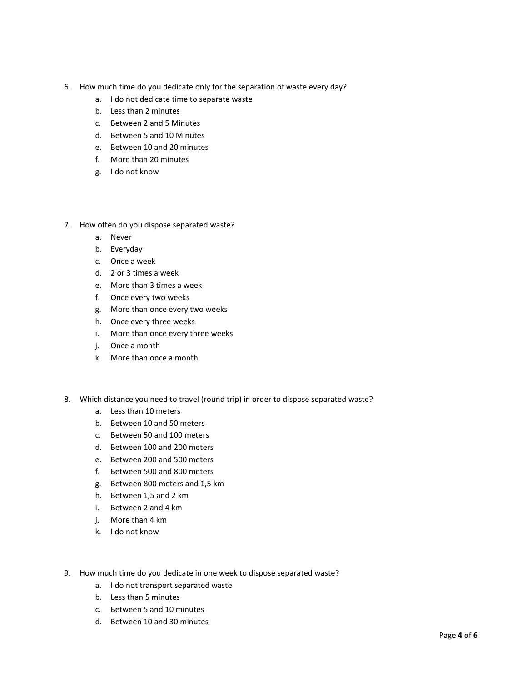- 6. How much time do you dedicate only for the separation of waste every day?
	- a. I do not dedicate time to separate waste
	- b. Less than 2 minutes
	- c. Between 2 and 5 Minutes
	- d. Between 5 and 10 Minutes
	- e. Between 10 and 20 minutes
	- f. More than 20 minutes
	- g. I do not know
- 7. How often do you dispose separated waste?
	- a. Never
	- b. Everyday
	- c. Once a week
	- d. 2 or 3 times a week
	- e. More than 3 times a week
	- f. Once every two weeks
	- g. More than once every two weeks
	- h. Once every three weeks
	- i. More than once every three weeks
	- j. Once a month
	- k. More than once a month
- 8. Which distance you need to travel (round trip) in order to dispose separated waste?
	- a. Less than 10 meters
	- b. Between 10 and 50 meters
	- c. Between 50 and 100 meters
	- d. Between 100 and 200 meters
	- e. Between 200 and 500 meters
	- f. Between 500 and 800 meters
	- g. Between 800 meters and 1,5 km
	- h. Between 1,5 and 2 km
	- i. Between 2 and 4 km
	- j. More than 4 km
	- k. I do not know
- 9. How much time do you dedicate in one week to dispose separated waste?
	- a. I do not transport separated waste
	- b. Less than 5 minutes
	- c. Between 5 and 10 minutes
	- d. Between 10 and 30 minutes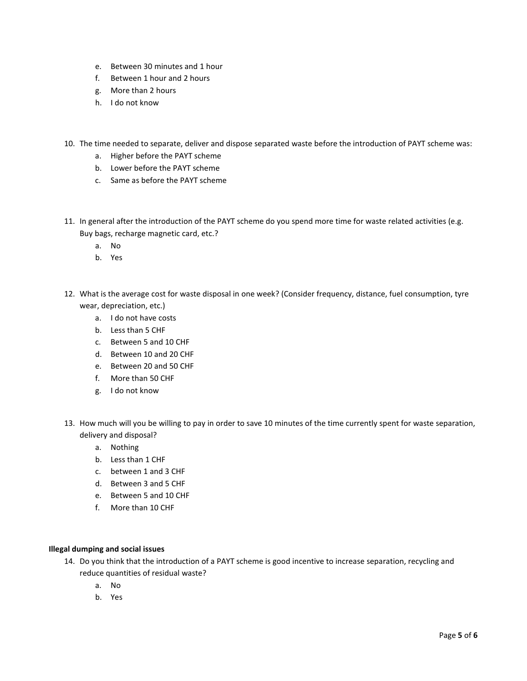- e. Between 30 minutes and 1 hour
- f. Between 1 hour and 2 hours
- g. More than 2 hours
- h. I do not know
- 10. The time needed to separate, deliver and dispose separated waste before the introduction of PAYT scheme was:
	- a. Higher before the PAYT scheme
	- b. Lower before the PAYT scheme
	- c. Same as before the PAYT scheme
- 11. In general after the introduction of the PAYT scheme do you spend more time for waste related activities (e.g. Buy bags, recharge magnetic card, etc.?
	- a. No
	- b. Yes
- 12. What is the average cost for waste disposal in one week? (Consider frequency, distance, fuel consumption, tyre wear, depreciation, etc.)
	- a. I do not have costs
	- b. Less than 5 CHF
	- c. Between 5 and 10 CHF
	- d. Between 10 and 20 CHF
	- e. Between 20 and 50 CHF
	- f. More than 50 CHF
	- g. I do not know
- 13. How much will you be willing to pay in order to save 10 minutes of the time currently spent for waste separation, delivery and disposal?
	- a. Nothing
	- b. Less than 1 CHF
	- c. between 1 and 3 CHF
	- d. Between 3 and 5 CHF
	- e. Between 5 and 10 CHF
	- f. More than 10 CHF

### **Illegal dumping and social issues**

- 14. Do you think that the introduction of a PAYT scheme is good incentive to increase separation, recycling and reduce quantities of residual waste?
	- a. No
	- b. Yes